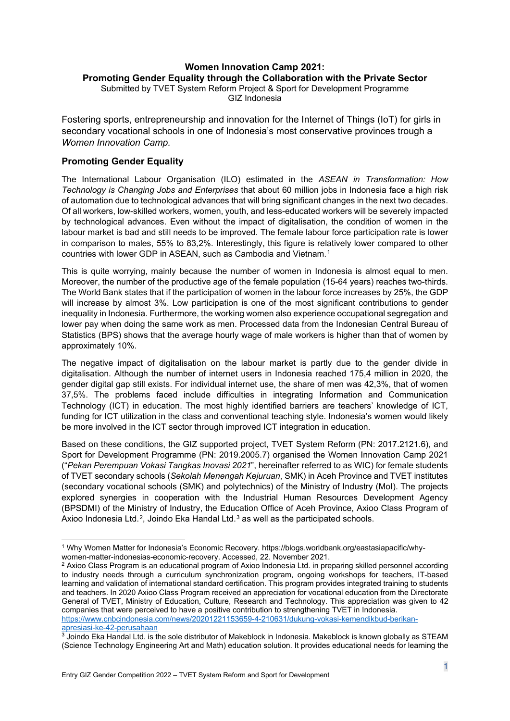# **Women Innovation Camp 2021: Promoting Gender Equality through the Collaboration with the Private Sector**

Submitted by TVET System Reform Project & Sport for Development Programme GIZ Indonesia

Fostering sports, entrepreneurship and innovation for the Internet of Things (IoT) for girls in secondary vocational schools in one of Indonesia's most conservative provinces trough a *Women Innovation Camp.*

# **Promoting Gender Equality**

The International Labour Organisation (ILO) estimated in the *ASEAN in Transformation: How Technology is Changing Jobs and Enterprises* that about 60 million jobs in Indonesia face a high risk of automation due to technological advances that will bring significant changes in the next two decades. Of all workers, low-skilled workers, women, youth, and less-educated workers will be severely impacted by technological advances. Even without the impact of digitalisation, the condition of women in the labour market is bad and still needs to be improved. The female labour force participation rate is lower in comparison to males, 55% to 83,2%. Interestingly, this figure is relatively lower compared to other countries with lower GDP in ASEAN, such as Cambodia and Vietnam.[1](#page-0-0)

This is quite worrying, mainly because the number of women in Indonesia is almost equal to men. Moreover, the number of the productive age of the female population (15-64 years) reaches two-thirds. The World Bank states that if the participation of women in the labour force increases by 25%, the GDP will increase by almost 3%. Low participation is one of the most significant contributions to gender inequality in Indonesia. Furthermore, the working women also experience occupational segregation and lower pay when doing the same work as men. Processed data from the Indonesian Central Bureau of Statistics (BPS) shows that the average hourly wage of male workers is higher than that of women by approximately 10%.

The negative impact of digitalisation on the labour market is partly due to the gender divide in digitalisation. Although the number of internet users in Indonesia reached 175,4 million in 2020, the gender digital gap still exists. For individual internet use, the share of men was 42,3%, that of women 37,5%. The problems faced include difficulties in integrating Information and Communication Technology (ICT) in education. The most highly identified barriers are teachers' knowledge of ICT, funding for ICT utilization in the class and conventional teaching style. Indonesia's women would likely be more involved in the ICT sector through improved ICT integration in education.

Based on these conditions, the GIZ supported project, TVET System Reform (PN: 2017.2121.6), and Sport for Development Programme (PN: 2019.2005.7) organised the Women Innovation Camp 2021 ("*Pekan Perempuan Vokasi Tangkas Inovasi 2021*", hereinafter referred to as WIC) for female students of TVET secondary schools (*Sekolah Menengah Kejuruan*, SMK) in Aceh Province and TVET institutes (secondary vocational schools (SMK) and polytechnics) of the Ministry of Industry (MoI). The projects explored synergies in cooperation with the Industrial Human Resources Development Agency (BPSDMI) of the Ministry of Industry, the Education Office of Aceh Province, Axioo Class Program of Axioo Indonesia Ltd.<sup>2</sup>, Joindo Eka Handal Ltd.<sup>[3](#page-0-2)</sup> as well as the participated schools.

[apresiasi-ke-42-perusahaan](https://www.cnbcindonesia.com/news/20201221153659-4-210631/dukung-vokasi-kemendikbud-berikan-apresiasi-ke-42-perusahaan)

<span id="page-0-0"></span><sup>1</sup> Why Women Matter for Indonesia's Economic Recovery. https://blogs.worldbank.org/eastasiapacific/whywomen-matter-indonesias-economic-recovery. Accessed, 22. November 2021.

<span id="page-0-1"></span><sup>2</sup> Axioo Class Program is an educational program of Axioo Indonesia Ltd. in preparing skilled personnel according to industry needs through a curriculum synchronization program, ongoing workshops for teachers, IT-based learning and validation of international standard certification. This program provides integrated training to students and teachers. In 2020 Axioo Class Program received an appreciation for vocational education from the Directorate General of TVET, Ministry of Education, Culture, Research and Technology. This appreciation was given to 42 companies that were perceived to have a positive contribution to strengthening TVET in Indonesia. [https://www.cnbcindonesia.com/news/20201221153659-4-210631/dukung-vokasi-kemendikbud-berikan-](https://www.cnbcindonesia.com/news/20201221153659-4-210631/dukung-vokasi-kemendikbud-berikan-apresiasi-ke-42-perusahaan)

<span id="page-0-2"></span> $3$  Joindo Eka Handal Ltd. is the sole distributor of Makeblock in Indonesia. Makeblock is known globally as STEAM (Science Technology Engineering Art and Math) education solution. It provides educational needs for learning the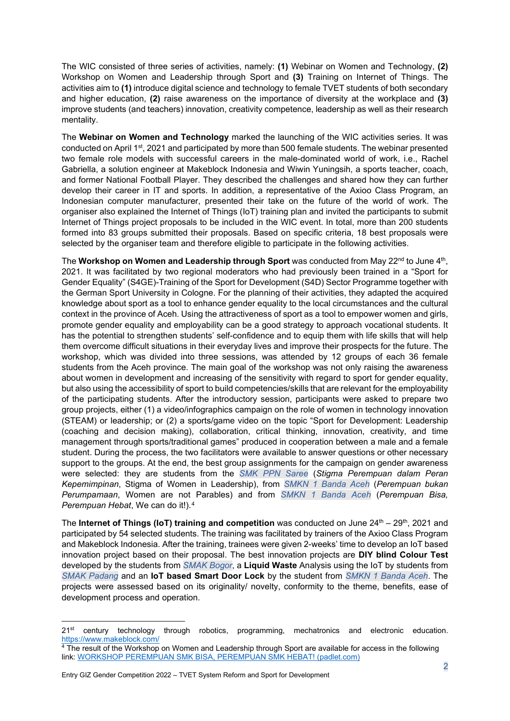The WIC consisted of three series of activities, namely: **(1)** Webinar on Women and Technology, **(2)** Workshop on Women and Leadership through Sport and **(3)** Training on Internet of Things. The activities aim to **(1)** introduce digital science and technology to female TVET students of both secondary and higher education, **(2)** raise awareness on the importance of diversity at the workplace and **(3)**  improve students (and teachers) innovation, creativity competence, leadership as well as their research mentality.

The **Webinar on Women and Technology** marked the launching of the WIC activities series. It was conducted on April 1st, 2021 and participated by more than 500 female students. The webinar presented two female role models with successful careers in the male-dominated world of work, i.e., Rachel Gabriella, a solution engineer at Makeblock Indonesia and Wiwin Yuningsih, a sports teacher, coach, and former National Football Player. They described the challenges and shared how they can further develop their career in IT and sports. In addition, a representative of the Axioo Class Program, an Indonesian computer manufacturer, presented their take on the future of the world of work. The organiser also explained the Internet of Things (IoT) training plan and invited the participants to submit Internet of Things project proposals to be included in the WIC event. In total, more than 200 students formed into 83 groups submitted their proposals. Based on specific criteria, 18 best proposals were selected by the organiser team and therefore eligible to participate in the following activities.

The Workshop on Women and Leadership through Sport was conducted from May 22<sup>nd</sup> to June 4<sup>th</sup>, 2021. It was facilitated by two regional moderators who had previously been trained in a "Sport for Gender Equality" (S4GE)-Training of the Sport for Development (S4D) Sector Programme together with the German Sport University in Cologne. For the planning of their activities, they adapted the acquired knowledge about sport as a tool to enhance gender equality to the local circumstances and the cultural context in the province of Aceh. Using the attractiveness of sport as a tool to empower women and girls, promote gender equality and employability can be a good strategy to approach vocational students. It has the potential to strengthen students' self-confidence and to equip them with life skills that will help them overcome difficult situations in their everyday lives and improve their prospects for the future. The workshop, which was divided into three sessions, was attended by 12 groups of each 36 female students from the Aceh province. The main goal of the workshop was not only raising the awareness about women in development and increasing of the sensitivity with regard to sport for gender equality, but also using the accessibility of sport to build competencies/skills that are relevant for the employability of the participating students. After the introductory session, participants were asked to prepare two group projects, either (1) a video/infographics campaign on the role of women in technology innovation (STEAM) or leadership; or (2) a sports/game video on the topic "Sport for Development: Leadership (coaching and decision making), collaboration, critical thinking, innovation, creativity, and time management through sports/traditional games" produced in cooperation between a male and a female student. During the process, the two facilitators were available to answer questions or other necessary support to the groups. At the end, the best group assignments for the campaign on gender awareness were selected: they are students from the *SMK PPN Saree* (*Stigma Perempuan dalam Peran Kepemimpinan*, Stigma of Women in Leadership), from *SMKN 1 Banda Aceh* (*Perempuan bukan Perumpamaan*, Women are not Parables) and from *SMKN 1 Banda Aceh* (*Perempuan Bisa, Perempuan Hebat*, We can do it!).[4](#page-1-0)

The **Internet of Things (IoT) training and competition** was conducted on June 24<sup>th</sup> – 29<sup>th</sup>, 2021 and participated by 54 selected students. The training was facilitated by trainers of the Axioo Class Program and Makeblock Indonesia. After the training, trainees were given 2-weeks' time to develop an IoT based innovation project based on their proposal. The best innovation projects are **DIY blind Colour Test** developed by the students from *SMAK Bogor*, a **Liquid Waste** Analysis using the IoT by students from *SMAK Padang* and an **IoT based Smart Door Lock** by the student from *SMKN 1 Banda Aceh*. The projects were assessed based on its originality/ novelty, conformity to the theme, benefits, ease of development process and operation.

<sup>21&</sup>lt;sup>st</sup> century technology through robotics, programming, mechatronics and electronic education. <https://www.makeblock.com/>

<span id="page-1-0"></span> $4$  The result of the Workshop on Women and Leadership through Sport are available for access in the following link: WORKSHOP [PEREMPUAN SMK BISA, PEREMPUAN SMK HEBAT! \(padlet.com\)](https://padlet.com/ana_genabuddin/rposro66684m7u49)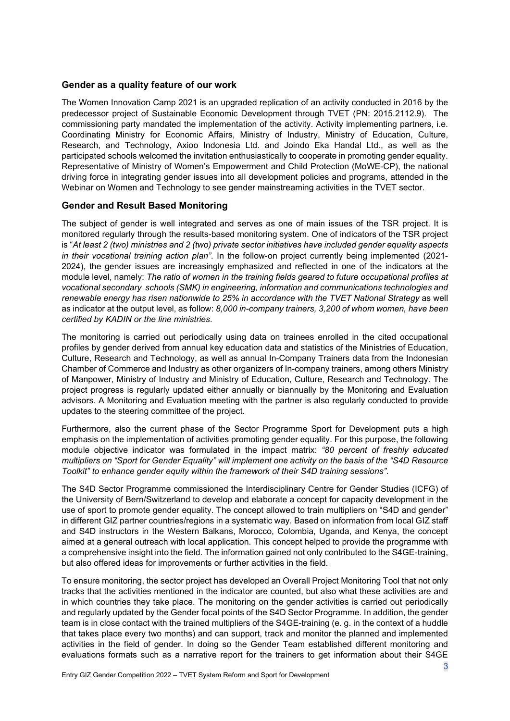## **Gender as a quality feature of our work**

The Women Innovation Camp 2021 is an upgraded replication of an activity conducted in 2016 by the predecessor project of Sustainable Economic Development through TVET (PN: 2015.2112.9). The commissioning party mandated the implementation of the activity. Activity implementing partners, i.e. Coordinating Ministry for Economic Affairs, Ministry of Industry, Ministry of Education, Culture, Research, and Technology, Axioo Indonesia Ltd. and Joindo Eka Handal Ltd., as well as the participated schools welcomed the invitation enthusiastically to cooperate in promoting gender equality. Representative of Ministry of Women's Empowerment and Child Protection (MoWE-CP), the national driving force in integrating gender issues into all development policies and programs, attended in the Webinar on Women and Technology to see gender mainstreaming activities in the TVET sector.

## **Gender and Result Based Monitoring**

The subject of gender is well integrated and serves as one of main issues of the TSR project. It is monitored regularly through the results-based monitoring system. One of indicators of the TSR project is "*At least 2 (two) ministries and 2 (two) private sector initiatives have included gender equality aspects in their vocational training action plan"*. In the follow-on project currently being implemented (2021- 2024), the gender issues are increasingly emphasized and reflected in one of the indicators at the module level, namely: *The ratio of women in the training fields geared to future occupational profiles at vocational secondary schools (SMK) in engineering, information and communications technologies and renewable energy has risen nationwide to 25% in accordance with the TVET National Strategy* as well as indicator at the output level, as follow: *8,000 in-company trainers, 3,200 of whom women, have been certified by KADIN or the line ministries*.

The monitoring is carried out periodically using data on trainees enrolled in the cited occupational profiles by gender derived from annual key education data and statistics of the Ministries of Education, Culture, Research and Technology, as well as annual In-Company Trainers data from the Indonesian Chamber of Commerce and Industry as other organizers of In-company trainers, among others Ministry of Manpower, Ministry of Industry and Ministry of Education, Culture, Research and Technology. The project progress is regularly updated either annually or biannually by the Monitoring and Evaluation advisors. A Monitoring and Evaluation meeting with the partner is also regularly conducted to provide updates to the steering committee of the project.

Furthermore, also the current phase of the Sector Programme Sport for Development puts a high emphasis on the implementation of activities promoting gender equality. For this purpose, the following module objective indicator was formulated in the impact matrix: *"80 percent of freshly educated multipliers on "Sport for Gender Equality" will implement one activity on the basis of the "S4D Resource Toolkit" to enhance gender equity within the framework of their S4D training sessions"*.

The S4D Sector Programme commissioned the Interdisciplinary Centre for Gender Studies (ICFG) of the University of Bern/Switzerland to develop and elaborate a concept for capacity development in the use of sport to promote gender equality. The concept allowed to train multipliers on "S4D and gender" in different GIZ partner countries/regions in a systematic way. Based on information from local GIZ staff and S4D instructors in the Western Balkans, Morocco, Colombia, Uganda, and Kenya, the concept aimed at a general outreach with local application. This concept helped to provide the programme with a comprehensive insight into the field. The information gained not only contributed to the S4GE-training, but also offered ideas for improvements or further activities in the field.

To ensure monitoring, the sector project has developed an Overall Project Monitoring Tool that not only tracks that the activities mentioned in the indicator are counted, but also what these activities are and in which countries they take place. The monitoring on the gender activities is carried out periodically and regularly updated by the Gender focal points of the S4D Sector Programme. In addition, the gender team is in close contact with the trained multipliers of the S4GE-training (e. g. in the context of a huddle that takes place every two months) and can support, track and monitor the planned and implemented activities in the field of gender. In doing so the Gender Team established different monitoring and evaluations formats such as a narrative report for the trainers to get information about their S4GE